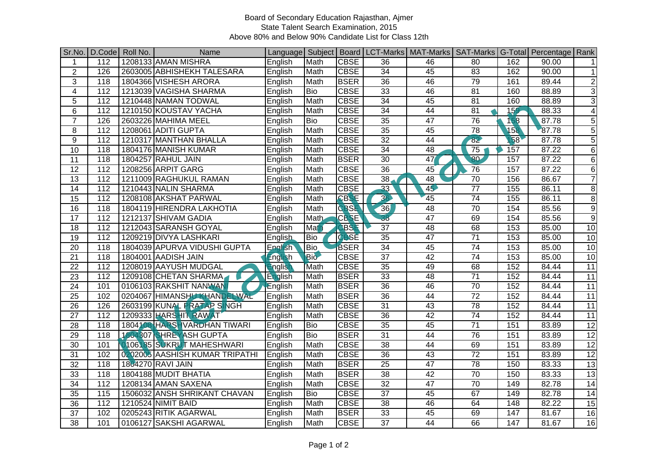## Board of Secondary Education Rajasthan, Ajmer State Talent Search Examination, 2015 Above 80% and Below 90% Candidate List for Class 12th

| Sr.No.          | D.Code           | Roll No. | Name                           |         |            |              |                 | Language   Subject   Board   LCT-Marks   MAT-Marks   SAT-Marks   G-Total   Percentage   Rank |                 |     |       |                 |
|-----------------|------------------|----------|--------------------------------|---------|------------|--------------|-----------------|----------------------------------------------------------------------------------------------|-----------------|-----|-------|-----------------|
| 1               | 112              |          | 1208133 AMAN MISHRA            | English | Math       | <b>CBSE</b>  | 36              | 46                                                                                           | 80              | 162 | 90.00 | $\mathbf{1}$    |
| $\overline{2}$  | 126              |          | 2603005 ABHISHEKH TALESARA     | English | Math       | <b>CBSE</b>  | $\overline{34}$ | 45                                                                                           | 83              | 162 | 90.00 | $\mathbf{1}$    |
| 3               | 118              |          | 1804366 VISHESH ARORA          | English | Math       | <b>BSER</b>  | $\overline{36}$ | 46                                                                                           | 79              | 161 | 89.44 | $\overline{2}$  |
| $\overline{4}$  | $\overline{112}$ |          | 1213039 VAGISHA SHARMA         | English | <b>Bio</b> | <b>CBSE</b>  | $\overline{33}$ | 46                                                                                           | $\overline{81}$ | 160 | 88.89 | $\overline{3}$  |
| 5               | $\overline{112}$ |          | 1210448 NAMAN TODWAL           | English | Math       | <b>CBSE</b>  | 34              | 45                                                                                           | $\overline{81}$ | 160 | 88.89 | $\overline{3}$  |
| 6               | $\overline{112}$ |          | 1210150 KOUSTAV YACHA          | English | Math       | <b>CBSE</b>  | $\overline{34}$ | 44                                                                                           | $\overline{81}$ | 159 | 88.33 | 4               |
| $\overline{7}$  | 126              |          | 2603226 MAHIMA MEEL            | English | <b>Bio</b> | <b>CBSE</b>  | $\overline{35}$ | $\overline{47}$                                                                              | 76              | 158 | 87.78 | $\overline{5}$  |
| 8               | 112              |          | 1208061 ADITI GUPTA            | English | Math       | <b>CBSE</b>  | $\overline{35}$ | 45                                                                                           | $\overline{78}$ | 158 | 87.78 | $\overline{5}$  |
| 9               | 112              |          | 1210317 MANTHAN BHALLA         | English | Math       | <b>CBSE</b>  | 32              | 44                                                                                           | 82              | 58  | 87.78 | $\overline{5}$  |
| 10              | 118              |          | 1804176 MANISH KUMAR           | English | Math       | <b>CBSE</b>  | 34              | 48                                                                                           | 75              | 157 | 87.22 | 6               |
| 11              | 118              |          | 1804257 RAHUL JAIN             | English | Math       | <b>BSER</b>  | 30              | 47                                                                                           | RO <sub>2</sub> | 157 | 87.22 | $6\phantom{1}6$ |
| 12              | $\overline{112}$ |          | 1208256 ARPIT GARG             | English | Math       | <b>CBSE</b>  | 36              | 45                                                                                           | 76              | 157 | 87.22 | 6               |
| 13              | 112              |          | 1211009 RAGHUKUL RAMAN         | English | Math       | <b>CBSE</b>  | $\overline{38}$ | 48                                                                                           | $\overline{70}$ | 156 | 86.67 | $\overline{7}$  |
| 14              | 112              |          | 1210443 NALIN SHARMA           | English | Math       | <b>CBSE</b>  | 33              | 45                                                                                           | $\overline{77}$ | 155 | 86.11 | 8               |
| 15              | $\overline{112}$ |          | 1208108 AKSHAT PARWAL          | English | Math       | <b>CBSE</b>  | 36              | 45                                                                                           | $\overline{74}$ | 155 | 86.11 | 8               |
| 16              | $\overline{118}$ |          | 1804119 HIRENDRA LAKHOTIA      | English | Math       | <b>CBSE</b>  | 36              | 48                                                                                           | 70              | 154 | 85.56 | $\overline{9}$  |
| 17              | 112              |          | 1212137 SHIVAM GADIA           | English | Math       | <b>CBSE</b>  | 38              | 47                                                                                           | 69              | 154 | 85.56 | 9               |
| 18              | 112              |          | 1212043 SARANSH GOYAL          | English | Mat        | <b>CBSE</b>  | 37              | 48                                                                                           | 68              | 153 | 85.00 | 10              |
| 19              | $\overline{112}$ |          | 1209219 DIVYA LASHKARI         | English | Bio        | <b>TCBSE</b> | $\overline{35}$ | 47                                                                                           | $\overline{71}$ | 153 | 85.00 | 10              |
| 20              | $\overline{118}$ |          | 1804039 APURVA VIDUSHI GUPTA   | English | Bio        | <b>BSER</b>  | $\overline{34}$ | 45                                                                                           | 74              | 153 | 85.00 | 10              |
| 21              | 118              |          | 1804001 AADISH JAIN            | English | <b>Bio</b> | <b>CBSE</b>  | $\overline{37}$ | 42                                                                                           | 74              | 153 | 85.00 | 10              |
| 22              | 112              |          | 1208019 AAYUSH MUDGAL          | English | Math       | <b>CBSE</b>  | 35              | 49                                                                                           | 68              | 152 | 84.44 | 11              |
| $\overline{23}$ | $\overline{112}$ |          | 1209108 CHETAN SHARMA          | English | Math       | <b>BSER</b>  | $\overline{33}$ | 48                                                                                           | $\overline{71}$ | 152 | 84.44 | 11              |
| 24              | 101              |          | 0106103 RAKSHIT NANWAN         | English | Math       | <b>BSER</b>  | $\overline{36}$ | 46                                                                                           | $\overline{70}$ | 152 | 84.44 | $\overline{11}$ |
| 25              | 102              |          | 0204067 HIMANSHU KHANDELWAL    | English | Math       | <b>BSER</b>  | 36              | 44                                                                                           | $\overline{72}$ | 152 | 84.44 | 11              |
| 26              | 126              |          | 2603199 KUNAL PRATAP SINGH     | English | Math       | <b>CBSE</b>  | $\overline{31}$ | $\overline{43}$                                                                              | 78              | 152 | 84.44 | 11              |
| $\overline{27}$ | 112              |          | 1209333 HARSHIT RAWAT          | English | Math       | <b>CBSE</b>  | $\overline{36}$ | 42                                                                                           | 74              | 152 | 84.44 | $\overline{11}$ |
| 28              | 118              |          | 1804108 HARSHVARDHAN TIWARI    | English | Bio        | <b>CBSE</b>  | 35              | 45                                                                                           | $\overline{71}$ | 151 | 83.89 | $\overline{12}$ |
| 29              | 118              |          | 1804307 SHREYASH GUPTA         | English | <b>Bio</b> | <b>BSER</b>  | 31              | 44                                                                                           | 76              | 151 | 83.89 | 12              |
| 30              | 101              |          | 0106185 SUKRUT MAHESHWARI      | English | Math       | <b>CBSE</b>  | 38              | 44                                                                                           | 69              | 151 | 83.89 | 12              |
| 31              | 102              |          | 0202005 AASHISH KUMAR TRIPATHI | English | Math       | <b>CBSE</b>  | $\overline{36}$ | 43                                                                                           | $\overline{72}$ | 151 | 83.89 | $\overline{12}$ |
| $\overline{32}$ | 118              |          | 1804270 RAVI JAIN              | English | Math       | <b>BSER</b>  | 25              | $\overline{47}$                                                                              | $\overline{78}$ | 150 | 83.33 | $\overline{13}$ |
| 33              | 118              |          | 1804188 MUDIT BHATIA           | English | Math       | <b>BSER</b>  | $\overline{38}$ | 42                                                                                           | 70              | 150 | 83.33 | 13              |
| 34              | $\overline{112}$ |          | 1208134 AMAN SAXENA            | English | Math       | <b>CBSE</b>  | $\overline{32}$ | 47                                                                                           | $\overline{70}$ | 149 | 82.78 | 14              |
| 35              | 115              |          | 1506032 ANSH SHRIKANT CHAVAN   | English | <b>Bio</b> | <b>CBSE</b>  | $\overline{37}$ | 45                                                                                           | 67              | 149 | 82.78 | $\overline{14}$ |
| 36              | 112              |          | 1210524 NIMIT BAID             | English | Math       | <b>CBSE</b>  | 38              | 46                                                                                           | 64              | 148 | 82.22 | 15              |
| 37              | 102              |          | 0205243 RITIK AGARWAL          | English | Math       | <b>BSER</b>  | $\overline{33}$ | 45                                                                                           | 69              | 147 | 81.67 | 16              |
| 38              | 101              |          | 0106127 SAKSHI AGARWAL         | English | Math       | <b>CBSE</b>  | $\overline{37}$ | 44                                                                                           | 66              | 147 | 81.67 | 16              |